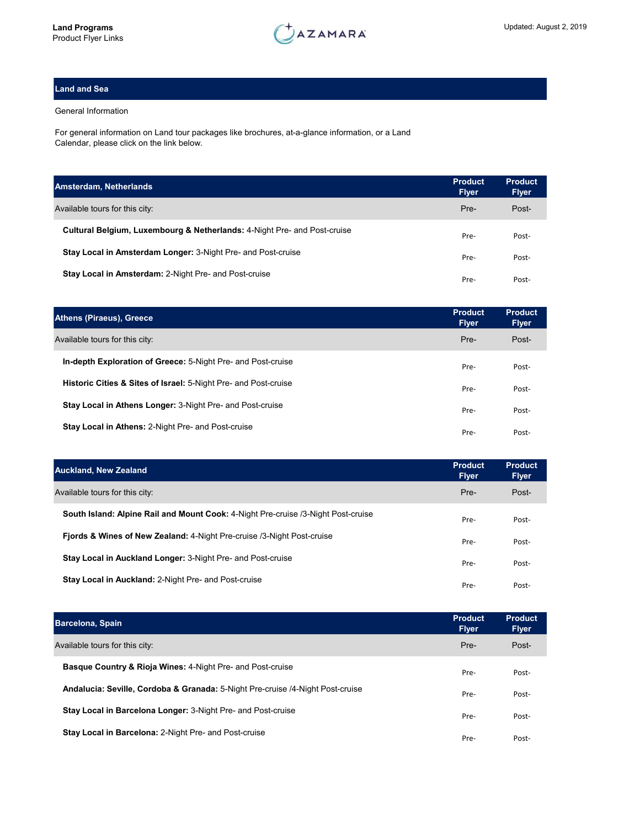

## **Land and Sea**

## General Information

For general information on Land tour packages like brochures, at-a-glance information, or a Land Calendar, please click on the link below.

| Amsterdam, Netherlands                                                              | <b>Product</b><br><b>Flyer</b> | <b>Product</b><br><b>Flyer</b> |
|-------------------------------------------------------------------------------------|--------------------------------|--------------------------------|
| Available tours for this city:                                                      | Pre-                           | Post-                          |
| <b>Cultural Belgium, Luxembourg &amp; Netherlands: 4-Night Pre- and Post-cruise</b> | Pre-                           | Post-                          |
| Stay Local in Amsterdam Longer: 3-Night Pre- and Post-cruise                        | Pre-                           | Post-                          |
| Stay Local in Amsterdam: 2-Night Pre- and Post-cruise                               | Pre-                           | Post-                          |

| <b>Athens (Piraeus), Greece</b>                                            | <b>Product</b><br><b>Flyer</b> | <b>Product</b><br><b>Flyer</b> |
|----------------------------------------------------------------------------|--------------------------------|--------------------------------|
| Available tours for this city:                                             | Pre-                           | Post-                          |
| In-depth Exploration of Greece: 5-Night Pre- and Post-cruise               | Pre-                           | Post-                          |
| <b>Historic Cities &amp; Sites of Israel:</b> 5-Night Pre- and Post-cruise | Pre-                           | Post-                          |
| Stay Local in Athens Longer: 3-Night Pre- and Post-cruise                  | Pre-                           | Post-                          |
| <b>Stay Local in Athens: 2-Night Pre- and Post-cruise</b>                  | Pre-                           | Post-                          |

| <b>Auckland, New Zealand</b>                                                      | <b>Product</b><br><b>Flyer</b> | <b>Product</b><br><b>Flyer</b> |
|-----------------------------------------------------------------------------------|--------------------------------|--------------------------------|
| Available tours for this city:                                                    | Pre-                           | Post-                          |
| South Island: Alpine Rail and Mount Cook: 4-Night Pre-cruise /3-Night Post-cruise | Pre-                           | Post-                          |
| <b>Fjords &amp; Wines of New Zealand: 4-Night Pre-cruise /3-Night Post-cruise</b> | Pre-                           | Post-                          |
| Stay Local in Auckland Longer: 3-Night Pre- and Post-cruise                       | Pre-                           | Post-                          |
| Stay Local in Auckland: 2-Night Pre- and Post-cruise                              | Pre-                           | Post-                          |

| <b>Barcelona, Spain</b>                                                        | <b>Product</b><br><b>Flyer</b> | <b>Product</b><br><b>Flyer</b> |
|--------------------------------------------------------------------------------|--------------------------------|--------------------------------|
| Available tours for this city:                                                 | Pre-                           | Post-                          |
| <b>Basque Country &amp; Rioja Wines: 4-Night Pre- and Post-cruise</b>          | Pre-                           | Post-                          |
| Andalucia: Seville, Cordoba & Granada: 5-Night Pre-cruise /4-Night Post-cruise | Pre-                           | Post-                          |
| Stay Local in Barcelona Longer: 3-Night Pre- and Post-cruise                   | Pre-                           | Post-                          |
| <b>Stay Local in Barcelona: 2-Night Pre- and Post-cruise</b>                   | Pre-                           | Post-                          |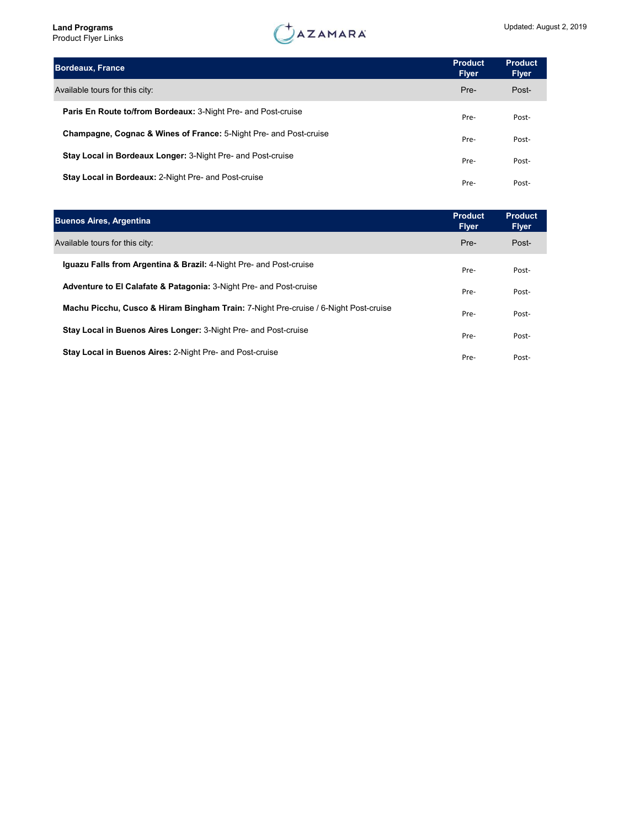| <b>Bordeaux, France</b>                                                      | <b>Product</b><br><b>Flyer</b> | <b>Product</b><br><b>Flyer</b> |
|------------------------------------------------------------------------------|--------------------------------|--------------------------------|
| Available tours for this city:                                               | Pre-                           | Post-                          |
| <b>Paris En Route to/from Bordeaux:</b> 3-Night Pre- and Post-cruise         | Pre-                           | Post-                          |
| <b>Champagne, Cognac &amp; Wines of France:</b> 5-Night Pre- and Post-cruise | Pre-                           | Post-                          |
| Stay Local in Bordeaux Longer: 3-Night Pre- and Post-cruise                  | Pre-                           | Post-                          |
| Stay Local in Bordeaux: 2-Night Pre- and Post-cruise                         | Pre-                           | Post-                          |

| <b>Buenos Aires, Argentina</b>                                                                 | <b>Product</b><br><b>Flyer</b> | <b>Product</b><br><b>Flyer</b> |
|------------------------------------------------------------------------------------------------|--------------------------------|--------------------------------|
| Available tours for this city:                                                                 | Pre-                           | Post-                          |
| <b>Iquazu Falls from Argentina &amp; Brazil:</b> 4-Night Pre- and Post-cruise                  | Pre-                           | Post-                          |
| Adventure to El Calafate & Patagonia: 3-Night Pre- and Post-cruise                             | Pre-                           | Post-                          |
| <b>Machu Picchu, Cusco &amp; Hiram Bingham Train: 7-Night Pre-cruise / 6-Night Post-cruise</b> | Pre-                           | Post-                          |
| <b>Stay Local in Buenos Aires Longer: 3-Night Pre- and Post-cruise</b>                         | Pre-                           | Post-                          |
| <b>Stay Local in Buenos Aires: 2-Night Pre- and Post-cruise</b>                                | Pre-                           | Post-                          |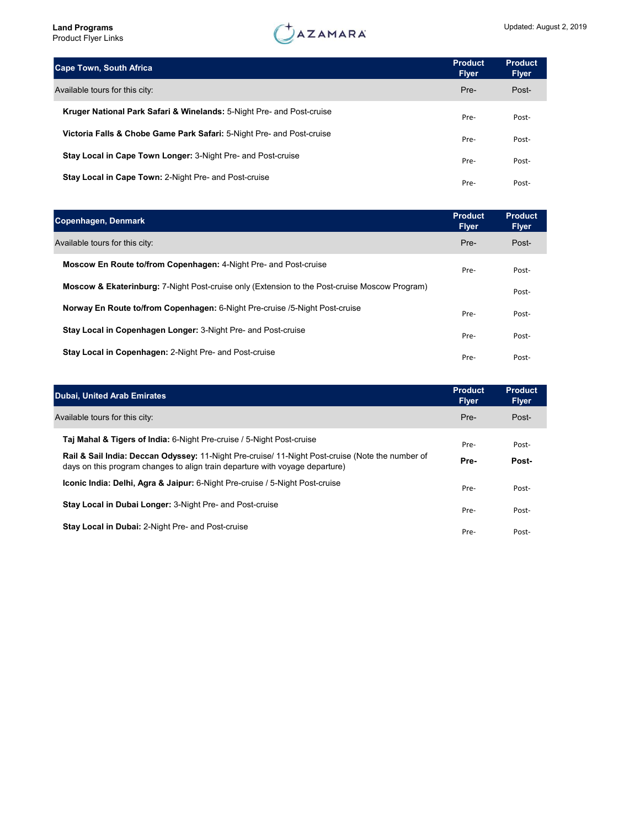| <b>Cape Town, South Africa</b>                                                   | <b>Product</b><br><b>Flyer</b> | <b>Product</b><br><b>Flyer</b> |
|----------------------------------------------------------------------------------|--------------------------------|--------------------------------|
| Available tours for this city:                                                   | Pre-                           | Post-                          |
| <b>Kruger National Park Safari &amp; Winelands:</b> 5-Night Pre- and Post-cruise | Pre-                           | Post-                          |
| Victoria Falls & Chobe Game Park Safari: 5-Night Pre- and Post-cruise            | Pre-                           | Post-                          |
| Stay Local in Cape Town Longer: 3-Night Pre- and Post-cruise                     | Pre-                           | Post-                          |
| Stay Local in Cape Town: 2-Night Pre- and Post-cruise                            | Pre-                           | Post-                          |

| Copenhagen, Denmark                                                                                      | <b>Product</b><br><b>Flyer</b> | <b>Product</b><br><b>Flyer</b> |
|----------------------------------------------------------------------------------------------------------|--------------------------------|--------------------------------|
| Available tours for this city:                                                                           | Pre-                           | Post-                          |
| <b>Moscow En Route to/from Copenhagen: 4-Night Pre- and Post-cruise</b>                                  | Pre-                           | Post-                          |
| <b>Moscow &amp; Ekaterinburg:</b> 7-Night Post-cruise only (Extension to the Post-cruise Moscow Program) |                                | Post-                          |
| Norway En Route to/from Copenhagen: 6-Night Pre-cruise /5-Night Post-cruise                              | Pre-                           | Post-                          |
| Stay Local in Copenhagen Longer: 3-Night Pre- and Post-cruise                                            | Pre-                           | Post-                          |
| <b>Stay Local in Copenhagen: 2-Night Pre- and Post-cruise</b>                                            | Pre-                           | Post-                          |

| <b>Dubai, United Arab Emirates</b>                                                                                                                                               | <b>Product</b><br><b>Flyer</b> | <b>Product</b><br><b>Flyer</b> |
|----------------------------------------------------------------------------------------------------------------------------------------------------------------------------------|--------------------------------|--------------------------------|
| Available tours for this city:                                                                                                                                                   | Pre-                           | Post-                          |
| <b>Taj Mahal &amp; Tigers of India: 6-Night Pre-cruise / 5-Night Post-cruise</b>                                                                                                 | Pre-                           | Post-                          |
| Rail & Sail India: Deccan Odyssey: 11-Night Pre-cruise/ 11-Night Post-cruise (Note the number of<br>days on this program changes to align train departure with voyage departure) | Pre-                           | Post-                          |
| <b>Iconic India: Delhi, Agra &amp; Jaipur:</b> 6-Night Pre-cruise / 5-Night Post-cruise                                                                                          | Pre-                           | Post-                          |
| <b>Stay Local in Dubai Longer: 3-Night Pre- and Post-cruise</b>                                                                                                                  | Pre-                           | Post-                          |
| <b>Stay Local in Dubai: 2-Night Pre- and Post-cruise</b>                                                                                                                         | Pre-                           | Post-                          |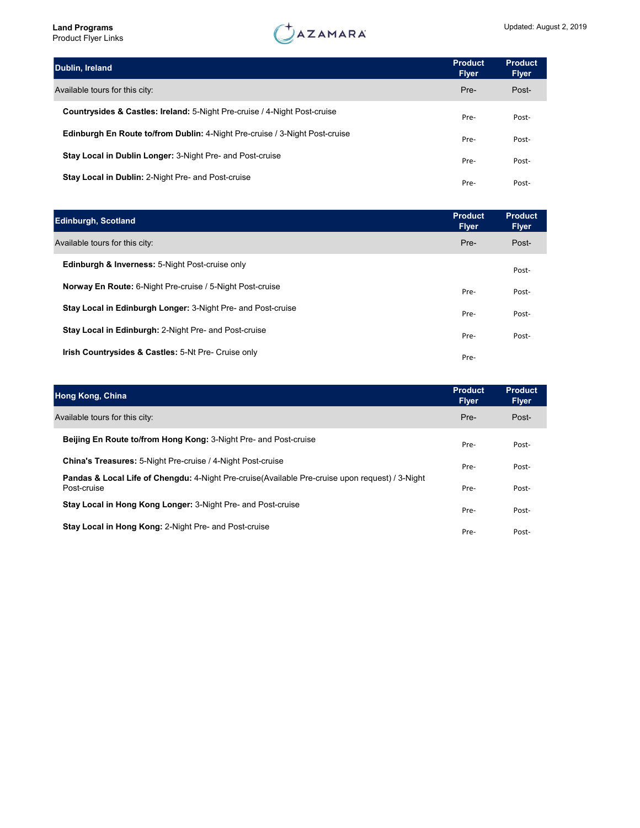| Dublin, Ireland                                                                      | <b>Product</b><br><b>Flyer</b> | <b>Product</b><br><b>Flyer</b> |
|--------------------------------------------------------------------------------------|--------------------------------|--------------------------------|
| Available tours for this city:                                                       | Pre-                           | Post-                          |
| <b>Countrysides &amp; Castles: Ireland:</b> 5-Night Pre-cruise / 4-Night Post-cruise | Pre-                           | Post-                          |
| <b>Edinburgh En Route to/from Dublin: 4-Night Pre-cruise / 3-Night Post-cruise</b>   | Pre-                           | Post-                          |
| Stay Local in Dublin Longer: 3-Night Pre- and Post-cruise                            | Pre-                           | Post-                          |
| Stay Local in Dublin: 2-Night Pre- and Post-cruise                                   | Pre-                           | Post-                          |

| <b>Edinburgh, Scotland</b>                                       | <b>Product</b><br><b>Flyer</b> | <b>Product</b><br><b>Flyer</b> |
|------------------------------------------------------------------|--------------------------------|--------------------------------|
| Available tours for this city:                                   | Pre-                           | Post-                          |
| <b>Edinburgh &amp; Inverness: 5-Night Post-cruise only</b>       |                                | Post-                          |
| <b>Norway En Route:</b> 6-Night Pre-cruise / 5-Night Post-cruise | Pre-                           | Post-                          |
| Stay Local in Edinburgh Longer: 3-Night Pre- and Post-cruise     | Pre-                           | Post-                          |
| Stay Local in Edinburgh: 2-Night Pre- and Post-cruise            | Pre-                           | Post-                          |
| <b>Irish Countrysides &amp; Castles: 5-Nt Pre- Cruise only</b>   | Pre-                           |                                |

| <b>Hong Kong, China</b>                                                                                                    | <b>Product</b><br><b>Flyer</b> | <b>Product</b><br><b>Flyer</b> |
|----------------------------------------------------------------------------------------------------------------------------|--------------------------------|--------------------------------|
| Available tours for this city:                                                                                             | Pre-                           | Post-                          |
| <b>Beijing En Route to/from Hong Kong: 3-Night Pre- and Post-cruise</b>                                                    | Pre-                           | Post-                          |
| China's Treasures: 5-Night Pre-cruise / 4-Night Post-cruise                                                                | Pre-                           | Post-                          |
| <b>Pandas &amp; Local Life of Chengdu:</b> 4-Night Pre-cruise (Available Pre-cruise upon request) / 3-Night<br>Post-cruise | Pre-                           | Post-                          |
| <b>Stay Local in Hong Kong Longer: 3-Night Pre- and Post-cruise</b>                                                        | Pre-                           | Post-                          |
| <b>Stay Local in Hong Kong: 2-Night Pre- and Post-cruise</b>                                                               | Pre-                           | Post-                          |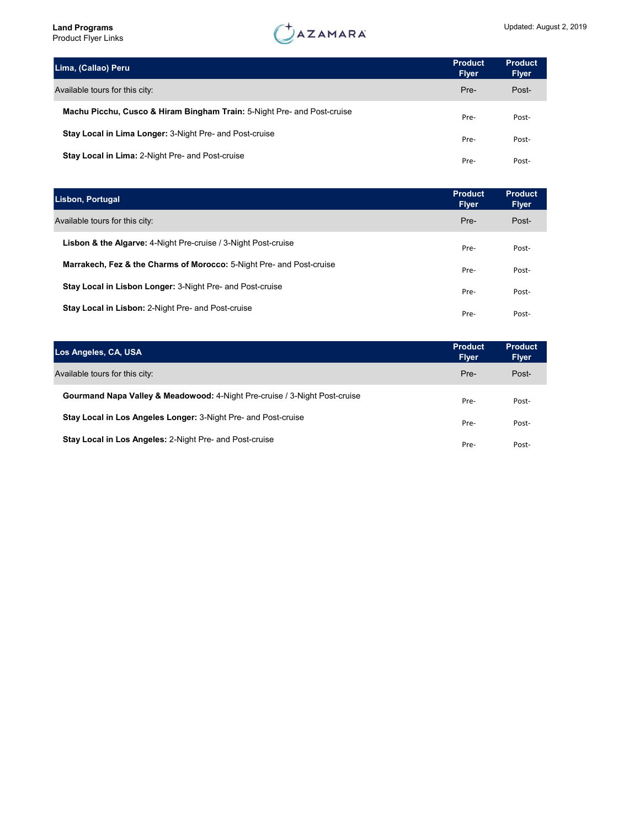| Lima, (Callao) Peru                                                     | <b>Product</b><br><b>Flyer</b> | <b>Product</b><br><b>Flyer</b> |
|-------------------------------------------------------------------------|--------------------------------|--------------------------------|
| Available tours for this city:                                          | Pre-                           | Post-                          |
| Machu Picchu, Cusco & Hiram Bingham Train: 5-Night Pre- and Post-cruise | Pre-                           | Post-                          |
| Stay Local in Lima Longer: 3-Night Pre- and Post-cruise                 | Pre-                           | Post-                          |
| Stay Local in Lima: 2-Night Pre- and Post-cruise                        | Pre-                           | Post-                          |

| Lisbon, Portugal                                                          | <b>Product</b><br><b>Flyer</b> | <b>Product</b><br><b>Flyer</b> |
|---------------------------------------------------------------------------|--------------------------------|--------------------------------|
| Available tours for this city:                                            | Pre-                           | Post-                          |
| <b>Lisbon &amp; the Algarve:</b> 4-Night Pre-cruise / 3-Night Post-cruise | Pre-                           | Post-                          |
| Marrakech, Fez & the Charms of Morocco: 5-Night Pre- and Post-cruise      | Pre-                           | Post-                          |
| <b>Stay Local in Lisbon Longer: 3-Night Pre- and Post-cruise</b>          | Pre-                           | Post-                          |
| <b>Stay Local in Lisbon: 2-Night Pre- and Post-cruise</b>                 | Pre-                           | Post-                          |

| Los Angeles, CA, USA                                                                  | <b>Product</b><br><b>Flyer</b> | <b>Product</b><br><b>Flyer</b> |
|---------------------------------------------------------------------------------------|--------------------------------|--------------------------------|
| Available tours for this city:                                                        | Pre-                           | Post-                          |
| <b>Gourmand Napa Valley &amp; Meadowood:</b> 4-Night Pre-cruise / 3-Night Post-cruise | Pre-                           | Post-                          |
| Stay Local in Los Angeles Longer: 3-Night Pre- and Post-cruise                        | Pre-                           | Post-                          |
| <b>Stay Local in Los Angeles: 2-Night Pre- and Post-cruise</b>                        | Pre-                           | Post-                          |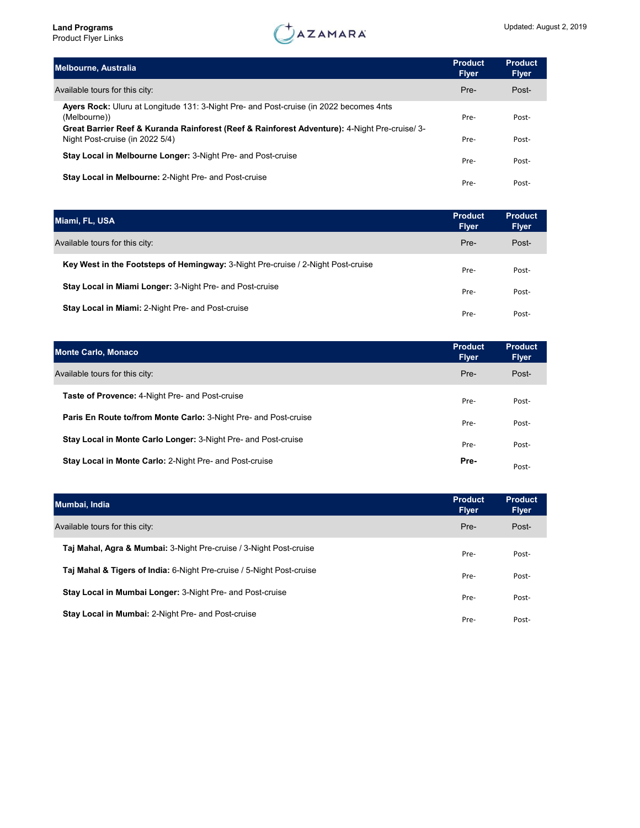

| <b>Melbourne, Australia</b>                                                                                                                                                                            | <b>Product</b><br><b>Flyer</b> | <b>Product</b><br><b>Flyer</b> |
|--------------------------------------------------------------------------------------------------------------------------------------------------------------------------------------------------------|--------------------------------|--------------------------------|
| Available tours for this city:                                                                                                                                                                         | Pre-                           | Post-                          |
| Ayers Rock: Uluru at Longitude 131: 3-Night Pre- and Post-cruise (in 2022 becomes 4nts<br>(Melbourne))<br>Great Barrier Reef & Kuranda Rainforest (Reef & Rainforest Adventure): 4-Night Pre-cruise/3- | Pre-                           | Post-                          |
| Night Post-cruise (in 2022 5/4)                                                                                                                                                                        | Pre-                           | Post-                          |
| Stay Local in Melbourne Longer: 3-Night Pre- and Post-cruise                                                                                                                                           | Pre-                           | Post-                          |
| Stay Local in Melbourne: 2-Night Pre- and Post-cruise                                                                                                                                                  | Pre-                           | Post-                          |

| Miami, FL, USA                                                                          | <b>Product</b><br><b>Flyer</b> | <b>Product</b><br><b>Flyer</b> |
|-----------------------------------------------------------------------------------------|--------------------------------|--------------------------------|
| Available tours for this city:                                                          | Pre-                           | Post-                          |
| <b>Key West in the Footsteps of Hemingway:</b> 3-Night Pre-cruise / 2-Night Post-cruise | Pre-                           | Post-                          |
| <b>Stay Local in Miami Longer: 3-Night Pre- and Post-cruise</b>                         | Pre-                           | Post-                          |
| <b>Stay Local in Miami: 2-Night Pre- and Post-cruise</b>                                | Pre-                           | Post-                          |

| <b>Monte Carlo, Monaco</b>                                       | <b>Product</b><br><b>Flyer</b> | <b>Product</b><br><b>Flyer</b> |
|------------------------------------------------------------------|--------------------------------|--------------------------------|
| Available tours for this city:                                   | Pre-                           | Post-                          |
| <b>Taste of Provence: 4-Night Pre- and Post-cruise</b>           | Pre-                           | Post-                          |
| Paris En Route to/from Monte Carlo: 3-Night Pre- and Post-cruise | Pre-                           | Post-                          |
| Stay Local in Monte Carlo Longer: 3-Night Pre- and Post-cruise   | Pre-                           | Post-                          |
| Stay Local in Monte Carlo: 2-Night Pre- and Post-cruise          | Pre-                           | Post-                          |

| Mumbai, India                                                                 | <b>Product</b><br><b>Flyer</b> | <b>Product</b><br><b>Flyer</b> |
|-------------------------------------------------------------------------------|--------------------------------|--------------------------------|
| Available tours for this city:                                                | Pre-                           | Post-                          |
| <b>Taj Mahal, Agra &amp; Mumbai:</b> 3-Night Pre-cruise / 3-Night Post-cruise | Pre-                           | Post-                          |
| Taj Mahal & Tigers of India: 6-Night Pre-cruise / 5-Night Post-cruise         | Pre-                           | Post-                          |
| Stay Local in Mumbai Longer: 3-Night Pre- and Post-cruise                     | Pre-                           | Post-                          |
| <b>Stay Local in Mumbai: 2-Night Pre- and Post-cruise</b>                     | Pre-                           | Post-                          |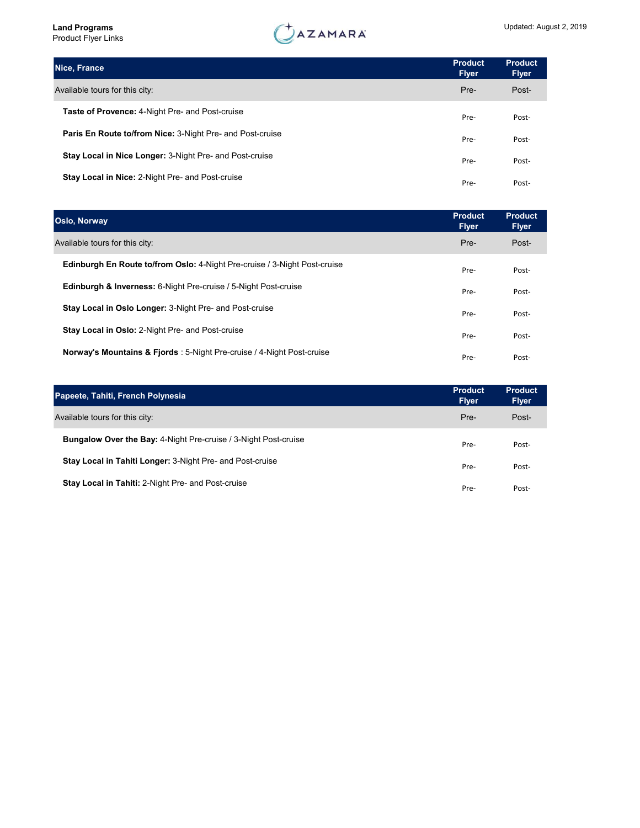

| Nice, France                                                     | <b>Product</b><br><b>Flyer</b> | <b>Product</b><br><b>Flyer</b> |
|------------------------------------------------------------------|--------------------------------|--------------------------------|
| Available tours for this city:                                   | Pre-                           | Post-                          |
| <b>Taste of Provence: 4-Night Pre- and Post-cruise</b>           | Pre-                           | Post-                          |
| <b>Paris En Route to/from Nice: 3-Night Pre- and Post-cruise</b> | Pre-                           | Post-                          |
| Stay Local in Nice Longer: 3-Night Pre- and Post-cruise          | Pre-                           | Post-                          |
| <b>Stay Local in Nice: 2-Night Pre- and Post-cruise</b>          | Pre-                           | Post-                          |

| <b>Oslo, Norway</b>                                                              | <b>Product</b><br><b>Flyer</b> | <b>Product</b><br><b>Flyer</b> |
|----------------------------------------------------------------------------------|--------------------------------|--------------------------------|
| Available tours for this city:                                                   | Pre-                           | Post-                          |
| <b>Edinburgh En Route to/from Oslo: 4-Night Pre-cruise / 3-Night Post-cruise</b> | Pre-                           | Post-                          |
| <b>Edinburgh &amp; Inverness:</b> 6-Night Pre-cruise / 5-Night Post-cruise       | Pre-                           | Post-                          |
| Stay Local in Oslo Longer: 3-Night Pre- and Post-cruise                          | Pre-                           | Post-                          |
| <b>Stay Local in Oslo: 2-Night Pre- and Post-cruise</b>                          | Pre-                           | Post-                          |
| Norway's Mountains & Fjords: 5-Night Pre-cruise / 4-Night Post-cruise            | Pre-                           | Post-                          |

| Papeete, Tahiti, French Polynesia                                      | <b>Product</b><br><b>Flyer</b> | <b>Product</b><br><b>Flyer</b> |
|------------------------------------------------------------------------|--------------------------------|--------------------------------|
| Available tours for this city:                                         | Pre-                           | Post-                          |
| <b>Bungalow Over the Bay: 4-Night Pre-cruise / 3-Night Post-cruise</b> | Pre-                           | Post-                          |
| Stay Local in Tahiti Longer: 3-Night Pre- and Post-cruise              | Pre-                           | Post-                          |
| <b>Stay Local in Tahiti: 2-Night Pre- and Post-cruise</b>              | Pre-                           | Post-                          |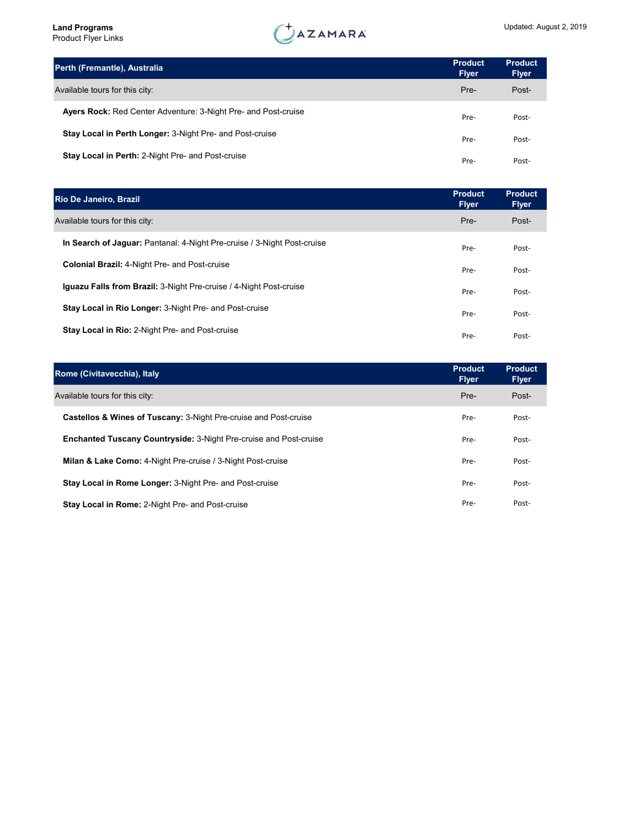| Perth (Fremantle), Australia                                          | <b>Product</b><br><b>Flyer</b> | <b>Product</b><br><b>Flyer</b> |
|-----------------------------------------------------------------------|--------------------------------|--------------------------------|
| Available tours for this city:                                        | Pre-                           | Post-                          |
| <b>Ayers Rock:</b> Red Center Adventure: 3-Night Pre- and Post-cruise | Pre-                           | Post-                          |
| <b>Stay Local in Perth Longer: 3-Night Pre- and Post-cruise</b>       | Pre-                           | Post-                          |
| Stay Local in Perth: 2-Night Pre- and Post-cruise                     | Pre-                           | Post-                          |

| Rio De Janeiro, Brazil                                                    | <b>Product</b><br><b>Flyer</b> | <b>Product</b><br><b>Flyer</b> |
|---------------------------------------------------------------------------|--------------------------------|--------------------------------|
| Available tours for this city:                                            | Pre-                           | Post-                          |
| In Search of Jaquar: Pantanal: 4-Night Pre-cruise / 3-Night Post-cruise   | Pre-                           | Post-                          |
| <b>Colonial Brazil: 4-Night Pre- and Post-cruise</b>                      | Pre-                           | Post-                          |
| <b>Iquazu Falls from Brazil:</b> 3-Night Pre-cruise / 4-Night Post-cruise | Pre-                           | Post-                          |
| <b>Stay Local in Rio Longer: 3-Night Pre- and Post-cruise</b>             | Pre-                           | Post-                          |
| <b>Stay Local in Rio: 2-Night Pre- and Post-cruise</b>                    | Pre-                           | Post-                          |

| Rome (Civitavecchia), Italy                                                 | <b>Product</b><br><b>Flyer</b> | <b>Product</b><br><b>Flyer</b> |
|-----------------------------------------------------------------------------|--------------------------------|--------------------------------|
| Available tours for this city:                                              | Pre-                           | Post-                          |
| <b>Castellos &amp; Wines of Tuscany: 3-Night Pre-cruise and Post-cruise</b> | Pre-                           | Post-                          |
| <b>Enchanted Tuscany Countryside: 3-Night Pre-cruise and Post-cruise</b>    | Pre-                           | Post-                          |
| <b>Milan &amp; Lake Como:</b> 4-Night Pre-cruise / 3-Night Post-cruise      | Pre-                           | Post-                          |
| Stay Local in Rome Longer: 3-Night Pre- and Post-cruise                     | Pre-                           | Post-                          |
| <b>Stay Local in Rome: 2-Night Pre- and Post-cruise</b>                     | Pre-                           | Post-                          |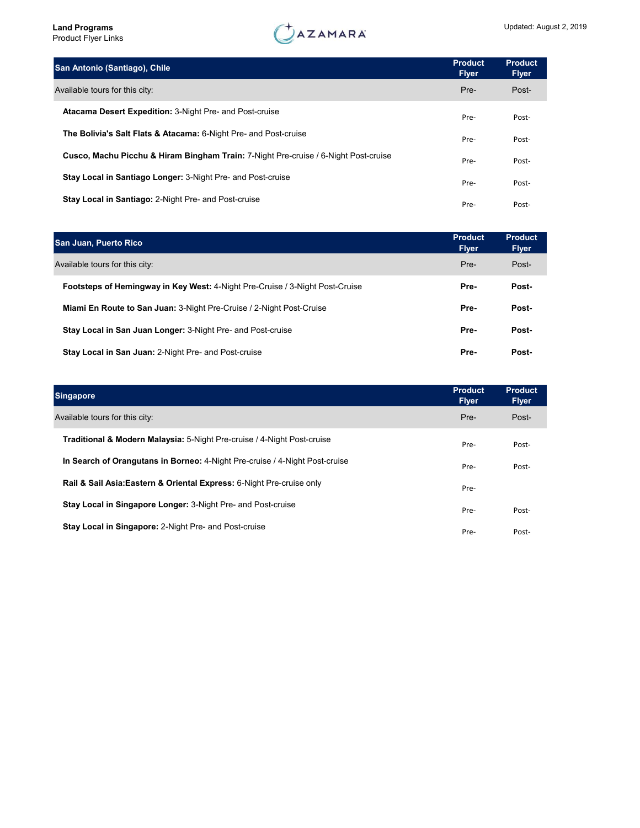| San Antonio (Santiago), Chile                                                       | <b>Product</b><br><b>Flyer</b> | <b>Product</b><br><b>Flyer</b> |  |
|-------------------------------------------------------------------------------------|--------------------------------|--------------------------------|--|
| Available tours for this city:                                                      | Pre-                           | Post-                          |  |
| <b>Atacama Desert Expedition: 3-Night Pre- and Post-cruise</b>                      | Pre-                           | Post-                          |  |
| The Bolivia's Salt Flats & Atacama: 6-Night Pre- and Post-cruise                    | Pre-                           | Post-                          |  |
| Cusco, Machu Picchu & Hiram Bingham Train: 7-Night Pre-cruise / 6-Night Post-cruise | Pre-                           | Post-                          |  |
| <b>Stay Local in Santiago Longer: 3-Night Pre- and Post-cruise</b>                  | Pre-                           | Post-                          |  |
| Stay Local in Santiago: 2-Night Pre- and Post-cruise                                | Pre-                           | Post-                          |  |
|                                                                                     |                                |                                |  |

| <b>San Juan, Puerto Rico</b>                                                        | <b>Product</b><br><b>Flyer</b> | <b>Product</b><br><b>Flyer</b> |
|-------------------------------------------------------------------------------------|--------------------------------|--------------------------------|
| Available tours for this city:                                                      | Pre-                           | Post-                          |
| <b>Footsteps of Hemingway in Key West: 4-Night Pre-Cruise / 3-Night Post-Cruise</b> | Pre-                           | Post-                          |
| Miami En Route to San Juan: 3-Night Pre-Cruise / 2-Night Post-Cruise                | Pre-                           | Post-                          |
| Stay Local in San Juan Longer: 3-Night Pre- and Post-cruise                         | Pre-                           | Post-                          |
| Stay Local in San Juan: 2-Night Pre- and Post-cruise                                | Pre-                           | Post-                          |

| <b>Singapore</b>                                                                   | <b>Product</b><br><b>Flyer</b> | <b>Product</b><br><b>Flyer</b> |
|------------------------------------------------------------------------------------|--------------------------------|--------------------------------|
| Available tours for this city:                                                     | Pre-                           | Post-                          |
| <b>Traditional &amp; Modern Malaysia:</b> 5-Night Pre-cruise / 4-Night Post-cruise | Pre-                           | Post-                          |
| In Search of Orangutans in Borneo: 4-Night Pre-cruise / 4-Night Post-cruise        | Pre-                           | Post-                          |
| Rail & Sail Asia: Eastern & Oriental Express: 6-Night Pre-cruise only              | Pre-                           |                                |
| <b>Stay Local in Singapore Longer: 3-Night Pre- and Post-cruise</b>                | Pre-                           | Post-                          |
| <b>Stay Local in Singapore: 2-Night Pre- and Post-cruise</b>                       | Pre-                           | Post-                          |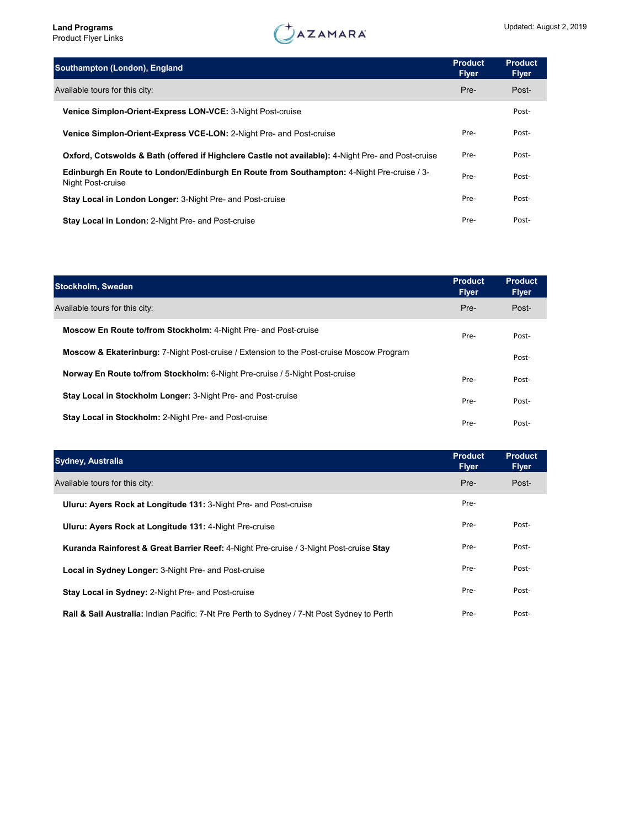| Southampton (London), England                                                                                  | <b>Product</b><br><b>Flyer</b> | <b>Product</b><br><b>Flyer</b> |  |
|----------------------------------------------------------------------------------------------------------------|--------------------------------|--------------------------------|--|
| Available tours for this city:                                                                                 | Pre-                           | Post-                          |  |
| Venice Simplon-Orient-Express LON-VCE: 3-Night Post-cruise                                                     |                                | Post-                          |  |
| Venice Simplon-Orient-Express VCE-LON: 2-Night Pre- and Post-cruise                                            | Pre-                           | Post-                          |  |
| Oxford, Cotswolds & Bath (offered if Highclere Castle not available): 4-Night Pre- and Post-cruise             | Pre-                           | Post-                          |  |
| Edinburgh En Route to London/Edinburgh En Route from Southampton: 4-Night Pre-cruise / 3-<br>Night Post-cruise | Pre-                           | Post-                          |  |
| Stay Local in London Longer: 3-Night Pre- and Post-cruise                                                      | Pre-                           | Post-                          |  |
| <b>Stay Local in London: 2-Night Pre- and Post-cruise</b>                                                      | Pre-                           | Post-                          |  |

| <b>Stockholm, Sweden</b>                                                                            | <b>Product</b><br><b>Flyer</b> | <b>Product</b><br><b>Flyer</b> |
|-----------------------------------------------------------------------------------------------------|--------------------------------|--------------------------------|
| Available tours for this city:                                                                      | Pre-                           | Post-                          |
| <b>Moscow En Route to/from Stockholm: 4-Night Pre- and Post-cruise</b>                              | Pre-                           | Post-                          |
| <b>Moscow &amp; Ekaterinburg:</b> 7-Night Post-cruise / Extension to the Post-cruise Moscow Program |                                | Post-                          |
| Norway En Route to/from Stockholm: 6-Night Pre-cruise / 5-Night Post-cruise                         | Pre-                           | Post-                          |
| Stay Local in Stockholm Longer: 3-Night Pre- and Post-cruise                                        | Pre-                           | Post-                          |
| Stay Local in Stockholm: 2-Night Pre- and Post-cruise                                               | Pre-                           | Post-                          |

| <b>Sydney, Australia</b>                                                                               | <b>Product</b><br><b>Flyer</b> | <b>Product</b><br><b>Flyer</b> |
|--------------------------------------------------------------------------------------------------------|--------------------------------|--------------------------------|
| Available tours for this city:                                                                         | Pre-                           | Post-                          |
| Uluru: Ayers Rock at Longitude 131: 3-Night Pre- and Post-cruise                                       | Pre-                           |                                |
| Uluru: Ayers Rock at Longitude 131: 4-Night Pre-cruise                                                 | Pre-                           | Post-                          |
| Kuranda Rainforest & Great Barrier Reef: 4-Night Pre-cruise / 3-Night Post-cruise Stay                 | Pre-                           | Post-                          |
| Local in Sydney Longer: 3-Night Pre- and Post-cruise                                                   | Pre-                           | Post-                          |
| <b>Stay Local in Sydney: 2-Night Pre- and Post-cruise</b>                                              | Pre-                           | Post-                          |
| <b>Rail &amp; Sail Australia:</b> Indian Pacific: 7-Nt Pre Perth to Sydney / 7-Nt Post Sydney to Perth | Pre-                           | Post-                          |